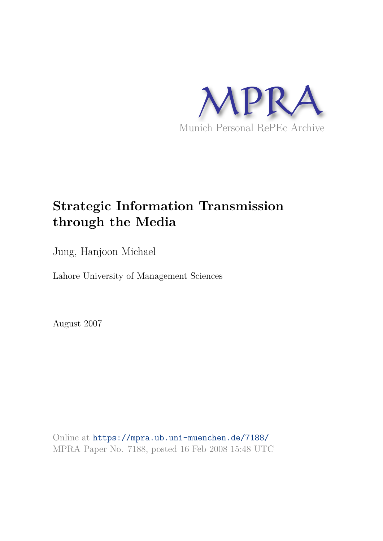

# **Strategic Information Transmission through the Media**

Jung, Hanjoon Michael

Lahore University of Management Sciences

August 2007

Online at https://mpra.ub.uni-muenchen.de/7188/ MPRA Paper No. 7188, posted 16 Feb 2008 15:48 UTC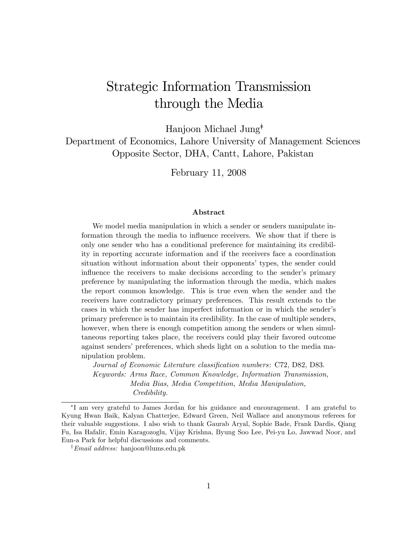## Strategic Information Transmission through the Media

Hanjoon Michael Jung<sup>\*</sup>

Department of Economics, Lahore University of Management Sciences Opposite Sector, DHA, Cantt, Lahore, Pakistan

February 11, 2008

#### Abstract

We model media manipulation in which a sender or senders manipulate information through the media to influence receivers. We show that if there is only one sender who has a conditional preference for maintaining its credibility in reporting accurate information and if the receivers face a coordination situation without information about their opponents' types, the sender could influence the receivers to make decisions according to the sender's primary preference by manipulating the information through the media, which makes the report common knowledge. This is true even when the sender and the receivers have contradictory primary preferences. This result extends to the cases in which the sender has imperfect information or in which the sender's primary preference is to maintain its credibility. In the case of multiple senders, however, when there is enough competition among the senders or when simultaneous reporting takes place, the receivers could play their favored outcome against sendersí preferences, which sheds light on a solution to the media manipulation problem.

Journal of Economic Literature classification numbers: C72, D82, D83. Keywords: Arms Race, Common Knowledge, Information Transmission, Media Bias, Media Competition, Media Manipulation, Credibility.

 I am very grateful to James Jordan for his guidance and encouragement. I am grateful to Kyung Hwan Baik, Kalyan Chatterjee, Edward Green, Neil Wallace and anonymous referees for their valuable suggestions. I also wish to thank Gaurab Aryal, Sophie Bade, Frank Dardis, Qiang Fu, Isa Hafalir, Emin Karagozoglu, Vijay Krishna, Byung Soo Lee, Pei-yu Lo, Jawwad Noor, and Eun-a Park for helpful discussions and comments.

<sup>&</sup>lt;sup>†</sup>*Email address:* hanjoon@lums.edu.pk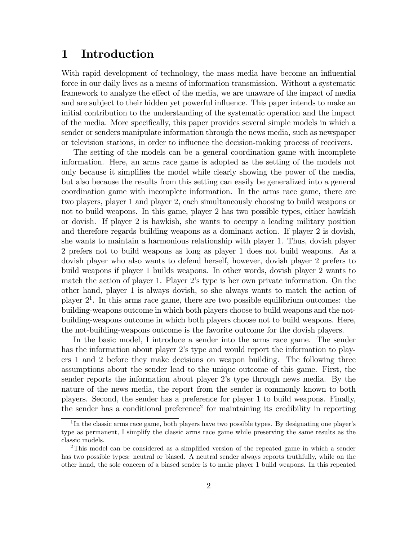#### 1 Introduction

With rapid development of technology, the mass media have become an influential force in our daily lives as a means of information transmission. Without a systematic framework to analyze the effect of the media, we are unaware of the impact of media and are subject to their hidden yet powerful influence. This paper intends to make an initial contribution to the understanding of the systematic operation and the impact of the media. More specifically, this paper provides several simple models in which a sender or senders manipulate information through the news media, such as newspaper or television stations, in order to ináuence the decision-making process of receivers.

The setting of the models can be a general coordination game with incomplete information. Here, an arms race game is adopted as the setting of the models not only because it simplifies the model while clearly showing the power of the media, but also because the results from this setting can easily be generalized into a general coordination game with incomplete information. In the arms race game, there are two players, player 1 and player 2, each simultaneously choosing to build weapons or not to build weapons. In this game, player 2 has two possible types, either hawkish or dovish. If player 2 is hawkish, she wants to occupy a leading military position and therefore regards building weapons as a dominant action. If player 2 is dovish, she wants to maintain a harmonious relationship with player 1. Thus, dovish player 2 prefers not to build weapons as long as player 1 does not build weapons. As a dovish player who also wants to defend herself, however, dovish player 2 prefers to build weapons if player 1 builds weapons. In other words, dovish player 2 wants to match the action of player 1. Player 2ís type is her own private information. On the other hand, player 1 is always dovish, so she always wants to match the action of player 2 1 . In this arms race game, there are two possible equilibrium outcomes: the building-weapons outcome in which both players choose to build weapons and the notbuilding-weapons outcome in which both players choose not to build weapons. Here, the not-building-weapons outcome is the favorite outcome for the dovish players.

In the basic model, I introduce a sender into the arms race game. The sender has the information about player 2's type and would report the information to players 1 and 2 before they make decisions on weapon building. The following three assumptions about the sender lead to the unique outcome of this game. First, the sender reports the information about player 2ís type through news media. By the nature of the news media, the report from the sender is commonly known to both players. Second, the sender has a preference for player 1 to build weapons. Finally, the sender has a conditional preference<sup>2</sup> for maintaining its credibility in reporting

<sup>&</sup>lt;sup>1</sup>In the classic arms race game, both players have two possible types. By designating one player's type as permanent, I simplify the classic arms race game while preserving the same results as the classic models.

<sup>&</sup>lt;sup>2</sup>This model can be considered as a simplified version of the repeated game in which a sender has two possible types: neutral or biased. A neutral sender always reports truthfully, while on the other hand, the sole concern of a biased sender is to make player 1 build weapons. In this repeated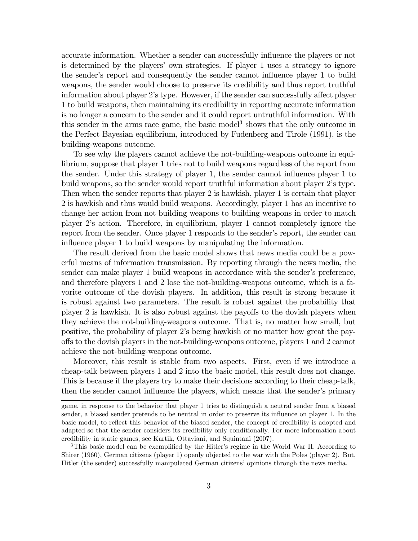accurate information. Whether a sender can successfully influence the players or not is determined by the players' own strategies. If player 1 uses a strategy to ignore the sender's report and consequently the sender cannot influence player 1 to build weapons, the sender would choose to preserve its credibility and thus report truthful information about player 2's type. However, if the sender can successfully affect player 1 to build weapons, then maintaining its credibility in reporting accurate information is no longer a concern to the sender and it could report untruthful information. With this sender in the arms race game, the basic model<sup>3</sup> shows that the only outcome in the Perfect Bayesian equilibrium, introduced by Fudenberg and Tirole (1991), is the building-weapons outcome.

To see why the players cannot achieve the not-building-weapons outcome in equilibrium, suppose that player 1 tries not to build weapons regardless of the report from the sender. Under this strategy of player 1, the sender cannot ináuence player 1 to build weapons, so the sender would report truthful information about player 2's type. Then when the sender reports that player 2 is hawkish, player 1 is certain that player 2 is hawkish and thus would build weapons. Accordingly, player 1 has an incentive to change her action from not building weapons to building weapons in order to match player 2ís action. Therefore, in equilibrium, player 1 cannot completely ignore the report from the sender. Once player 1 responds to the sender's report, the sender can influence player 1 to build weapons by manipulating the information.

The result derived from the basic model shows that news media could be a powerful means of information transmission. By reporting through the news media, the sender can make player 1 build weapons in accordance with the sender's preference, and therefore players 1 and 2 lose the not-building-weapons outcome, which is a favorite outcome of the dovish players. In addition, this result is strong because it is robust against two parameters. The result is robust against the probability that player 2 is hawkish. It is also robust against the payoffs to the dovish players when they achieve the not-building-weapons outcome. That is, no matter how small, but positive, the probability of player 2ís being hawkish or no matter how great the payoffs to the dovish players in the not-building-weapons outcome, players 1 and 2 cannot achieve the not-building-weapons outcome.

Moreover, this result is stable from two aspects. First, even if we introduce a cheap-talk between players 1 and 2 into the basic model, this result does not change. This is because if the players try to make their decisions according to their cheap-talk, then the sender cannot influence the players, which means that the sender's primary

game, in response to the behavior that player 1 tries to distinguish a neutral sender from a biased sender, a biased sender pretends to be neutral in order to preserve its influence on player 1. In the basic model, to reflect this behavior of the biased sender, the concept of credibility is adopted and adapted so that the sender considers its credibility only conditionally. For more information about credibility in static games, see Kartik, Ottaviani, and Squintani (2007).

 $3$ This basic model can be exemplified by the Hitler's regime in the World War II. According to Shirer (1960), German citizens (player 1) openly objected to the war with the Poles (player 2). But, Hitler (the sender) successfully manipulated German citizens' opinions through the news media.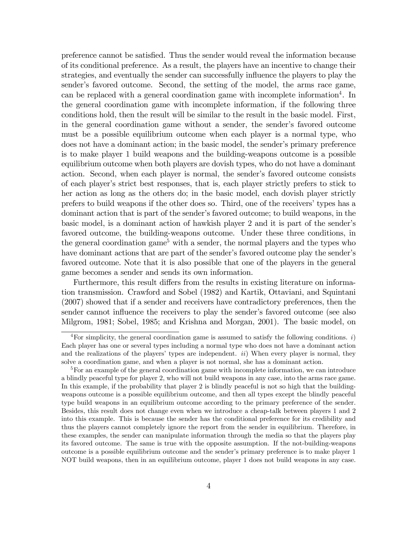preference cannot be satisfied. Thus the sender would reveal the information because of its conditional preference. As a result, the players have an incentive to change their strategies, and eventually the sender can successfully influence the players to play the sender's favored outcome. Second, the setting of the model, the arms race game, can be replaced with a general coordination game with incomplete information<sup>4</sup>. In the general coordination game with incomplete information, if the following three conditions hold, then the result will be similar to the result in the basic model. First, in the general coordination game without a sender, the sender's favored outcome must be a possible equilibrium outcome when each player is a normal type, who does not have a dominant action; in the basic model, the sender's primary preference is to make player 1 build weapons and the building-weapons outcome is a possible equilibrium outcome when both players are dovish types, who do not have a dominant action. Second, when each player is normal, the sender's favored outcome consists of each player's strict best responses, that is, each player strictly prefers to stick to her action as long as the others do; in the basic model, each dovish player strictly prefers to build weapons if the other does so. Third, one of the receiversí types has a dominant action that is part of the sender's favored outcome; to build weapons, in the basic model, is a dominant action of hawkish player 2 and it is part of the senderís favored outcome, the building-weapons outcome. Under these three conditions, in the general coordination game<sup>5</sup> with a sender, the normal players and the types who have dominant actions that are part of the sender's favored outcome play the sender's favored outcome. Note that it is also possible that one of the players in the general game becomes a sender and sends its own information.

Furthermore, this result differs from the results in existing literature on information transmission. Crawford and Sobel (1982) and Kartik, Ottaviani, and Squintani (2007) showed that if a sender and receivers have contradictory preferences, then the sender cannot influence the receivers to play the sender's favored outcome (see also Milgrom, 1981; Sobel, 1985; and Krishna and Morgan, 2001). The basic model, on

<sup>&</sup>lt;sup>4</sup>For simplicity, the general coordination game is assumed to satisfy the following conditions. *i*) Each player has one or several types including a normal type who does not have a dominant action and the realizations of the players' types are independent.  $ii)$  When every player is normal, they solve a coordination game, and when a player is not normal, she has a dominant action.

<sup>&</sup>lt;sup>5</sup>For an example of the general coordination game with incomplete information, we can introduce a blindly peaceful type for player 2, who will not build weapons in any case, into the arms race game. In this example, if the probability that player 2 is blindly peaceful is not so high that the buildingweapons outcome is a possible equilibrium outcome, and then all types except the blindly peaceful type build weapons in an equilibrium outcome according to the primary preference of the sender. Besides, this result does not change even when we introduce a cheap-talk between players 1 and 2 into this example. This is because the sender has the conditional preference for its credibility and thus the players cannot completely ignore the report from the sender in equilibrium. Therefore, in these examples, the sender can manipulate information through the media so that the players play its favored outcome. The same is true with the opposite assumption. If the not-building-weapons outcome is a possible equilibrium outcome and the senderís primary preference is to make player 1 NOT build weapons, then in an equilibrium outcome, player 1 does not build weapons in any case.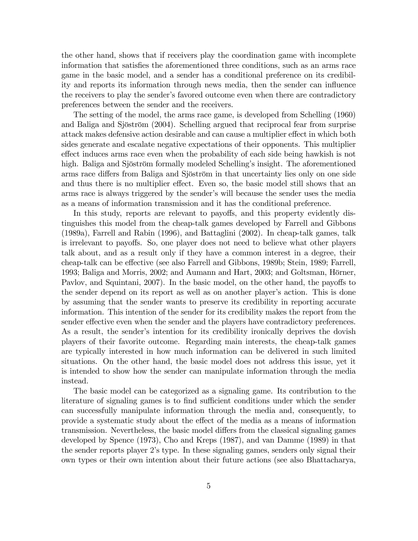the other hand, shows that if receivers play the coordination game with incomplete information that satisfies the aforementioned three conditions, such as an arms race game in the basic model, and a sender has a conditional preference on its credibility and reports its information through news media, then the sender can ináuence the receivers to play the senderís favored outcome even when there are contradictory preferences between the sender and the receivers.

The setting of the model, the arms race game, is developed from Schelling (1960) and Baliga and Sjöström (2004). Schelling argued that reciprocal fear from surprise attack makes defensive action desirable and can cause a multiplier effect in which both sides generate and escalate negative expectations of their opponents. This multiplier effect induces arms race even when the probability of each side being hawkish is not high. Baliga and Sjöström formally modeled Schelling's insight. The aforementioned arms race differs from Baliga and Sjöström in that uncertainty lies only on one side and thus there is no multiplier effect. Even so, the basic model still shows that an arms race is always triggered by the sender's will because the sender uses the media as a means of information transmission and it has the conditional preference.

In this study, reports are relevant to payoffs, and this property evidently distinguishes this model from the cheap-talk games developed by Farrell and Gibbons (1989a), Farrell and Rabin (1996), and Battaglini (2002). In cheap-talk games, talk is irrelevant to payoffs. So, one player does not need to believe what other players talk about, and as a result only if they have a common interest in a degree, their cheap-talk can be effective (see also Farrell and Gibbons, 1989b; Stein, 1989; Farrell, 1993; Baliga and Morris, 2002; and Aumann and Hart, 2003; and Goltsman, Hörner, Pavlov, and Squintani, 2007). In the basic model, on the other hand, the payoffs to the sender depend on its report as well as on another player's action. This is done by assuming that the sender wants to preserve its credibility in reporting accurate information. This intention of the sender for its credibility makes the report from the sender effective even when the sender and the players have contradictory preferences. As a result, the sender's intention for its credibility ironically deprives the dovish players of their favorite outcome. Regarding main interests, the cheap-talk games are typically interested in how much information can be delivered in such limited situations. On the other hand, the basic model does not address this issue, yet it is intended to show how the sender can manipulate information through the media instead.

The basic model can be categorized as a signaling game. Its contribution to the literature of signaling games is to find sufficient conditions under which the sender can successfully manipulate information through the media and, consequently, to provide a systematic study about the e§ect of the media as a means of information transmission. Nevertheless, the basic model differs from the classical signaling games developed by Spence (1973), Cho and Kreps (1987), and van Damme (1989) in that the sender reports player 2ís type. In these signaling games, senders only signal their own types or their own intention about their future actions (see also Bhattacharya,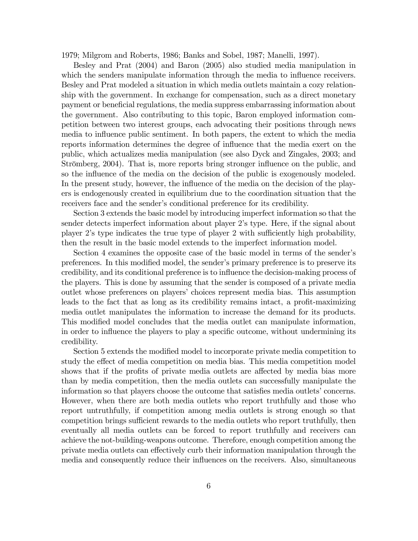1979; Milgrom and Roberts, 1986; Banks and Sobel, 1987; Manelli, 1997).

Besley and Prat (2004) and Baron (2005) also studied media manipulation in which the senders manipulate information through the media to influence receivers. Besley and Prat modeled a situation in which media outlets maintain a cozy relationship with the government. In exchange for compensation, such as a direct monetary payment or beneficial regulations, the media suppress embarrassing information about the government. Also contributing to this topic, Baron employed information competition between two interest groups, each advocating their positions through news media to influence public sentiment. In both papers, the extent to which the media reports information determines the degree of influence that the media exert on the public, which actualizes media manipulation (see also Dyck and Zingales, 2003; and Strömberg, 2004). That is, more reports bring stronger influence on the public, and so the influence of the media on the decision of the public is exogenously modeled. In the present study, however, the influence of the media on the decision of the players is endogenously created in equilibrium due to the coordination situation that the receivers face and the sender's conditional preference for its credibility.

Section 3 extends the basic model by introducing imperfect information so that the sender detects imperfect information about player 2ís type. Here, if the signal about player 2's type indicates the true type of player 2 with sufficiently high probability, then the result in the basic model extends to the imperfect information model.

Section 4 examines the opposite case of the basic model in terms of the sender's preferences. In this modified model, the sender's primary preference is to preserve its credibility, and its conditional preference is to influence the decision-making process of the players. This is done by assuming that the sender is composed of a private media outlet whose preferences on players' choices represent media bias. This assumption leads to the fact that as long as its credibility remains intact, a profit-maximizing media outlet manipulates the information to increase the demand for its products. This modified model concludes that the media outlet can manipulate information, in order to influence the players to play a specific outcome, without undermining its credibility.

Section 5 extends the modified model to incorporate private media competition to study the effect of media competition on media bias. This media competition model shows that if the profits of private media outlets are affected by media bias more than by media competition, then the media outlets can successfully manipulate the information so that players choose the outcome that satisfies media outlets' concerns. However, when there are both media outlets who report truthfully and those who report untruthfully, if competition among media outlets is strong enough so that competition brings sufficient rewards to the media outlets who report truthfully, then eventually all media outlets can be forced to report truthfully and receivers can achieve the not-building-weapons outcome. Therefore, enough competition among the private media outlets can effectively curb their information manipulation through the media and consequently reduce their influences on the receivers. Also, simultaneous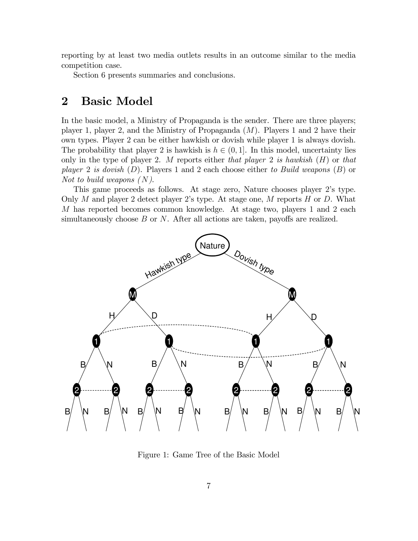reporting by at least two media outlets results in an outcome similar to the media competition case.

Section 6 presents summaries and conclusions.

### 2 Basic Model

In the basic model, a Ministry of Propaganda is the sender. There are three players; player 1, player 2, and the Ministry of Propaganda (M). Players 1 and 2 have their own types. Player 2 can be either hawkish or dovish while player 1 is always dovish. The probability that player 2 is hawkish is  $h \in (0, 1]$ . In this model, uncertainty lies only in the type of player 2. M reports either that player 2 is hawkish  $(H)$  or that player 2 is dovish  $(D)$ . Players 1 and 2 each choose either to Build weapons  $(B)$  or Not to build we apons  $(N)$ .

This game proceeds as follows. At stage zero, Nature chooses player 2's type. Only M and player 2 detect player 2's type. At stage one, M reports  $H$  or  $D$ . What M has reported becomes common knowledge. At stage two, players 1 and 2 each simultaneously choose  $B$  or  $N$ . After all actions are taken, payoffs are realized.



Figure 1: Game Tree of the Basic Model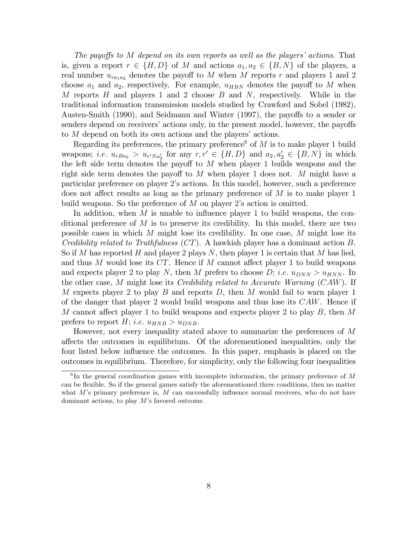The payoffs to  $M$  depend on its own reports as well as the players' actions. That is, given a report  $r \in \{H, D\}$  of M and actions  $a_1, a_2 \in \{B, N\}$  of the players, a real number  $u_{ra_1a_2}$  denotes the payoff to M when M reports r and players 1 and 2 choose  $a_1$  and  $a_2$ , respectively. For example,  $u_{HBN}$  denotes the payoff to M when M reports H and players 1 and 2 choose B and N, respectively. While in the traditional information transmission models studied by Crawford and Sobel (1982), Austen-Smith (1990), and Seidmann and Winter (1997), the payoffs to a sender or senders depend on receivers' actions only, in the present model, however, the payoffs to  $M$  depend on both its own actions and the players' actions.

Regarding its preferences, the primary preference<sup>6</sup> of  $M$  is to make player 1 build weapons; *i.e.*  $u_{rBa_2} > u_{r'Na_2}$  for any  $r, r' \in \{H, D\}$  and  $a_2, a_2' \in \{B, N\}$  in which the left side term denotes the payoff to  $M$  when player 1 builds weapons and the right side term denotes the payoff to  $M$  when player 1 does not.  $M$  might have a particular preference on player 2ís actions. In this model, however, such a preference does not affect results as long as the primary preference of  $M$  is to make player 1 build weapons. So the preference of  $M$  on player 2's action is omitted.

In addition, when  $M$  is unable to influence player 1 to build weapons, the conditional preference of  $M$  is to preserve its credibility. In this model, there are two possible cases in which  $M$  might lose its credibility. In one case,  $M$  might lose its Credibility related to Truthfulness  $(CT)$ . A hawkish player has a dominant action B. So if M has reported H and player 2 plays N, then player 1 is certain that M has lied, and thus  $M$  would lose its  $CT$ . Hence if  $M$  cannot affect player 1 to build weapons and expects player 2 to play N, then M prefers to choose D; *i.e.*  $u_{DNN} > u_{HNN}$ . In the other case, M might lose its Credibility related to Accurate Warning  $(CAW)$ . If M expects player 2 to play B and reports  $D$ , then M would fail to warn player 1 of the danger that player 2 would build weapons and thus lose its  $CAW$ . Hence if M cannot affect player 1 to build weapons and expects player 2 to play  $B$ , then M prefers to report  $H$ ; *i.e.*  $u_{HNB} > u_{DNB}$ .

However, not every inequality stated above to summarize the preferences of M affects the outcomes in equilibrium. Of the aforementioned inequalities, only the four listed below influence the outcomes. In this paper, emphasis is placed on the outcomes in equilibrium. Therefore, for simplicity, only the following four inequalities

<sup>&</sup>lt;sup>6</sup>In the general coordination games with incomplete information, the primary preference of M can be flexible. So if the general games satisfy the aforementioned three conditions, then no matter what  $M$ 's primary preference is,  $M$  can successfully influence normal receivers, who do not have dominant actions, to play  $M$ 's favored outcome.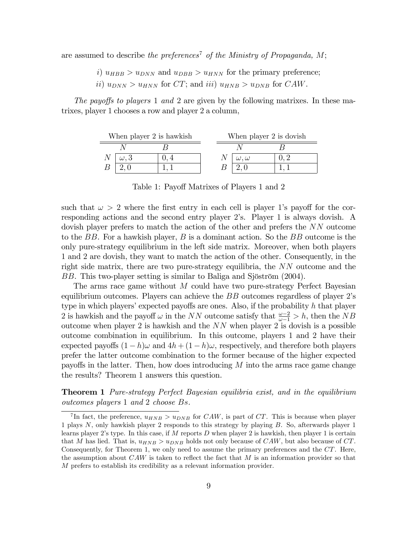are assumed to describe the preferences<sup>7</sup> of the Ministry of Propaganda, M;

- i)  $u_{HBB} > u_{DNN}$  and  $u_{DBB} > u_{HNN}$  for the primary preference;
- ii)  $u_{DNN} > u_{HNN}$  for CT; and iii)  $u_{HNB} > u_{DNB}$  for CAW.

The payoffs to players 1 and 2 are given by the following matrixes. In these matrixes, player 1 chooses a row and player 2 a column,

| When player 2 is hawkish |   |  |  | When player 2 is dovish |                     |  |  |  |
|--------------------------|---|--|--|-------------------------|---------------------|--|--|--|
|                          |   |  |  |                         |                     |  |  |  |
|                          | ω |  |  |                         | $\omega$ . $\omega$ |  |  |  |
|                          |   |  |  |                         |                     |  |  |  |

Table 1: Payoff Matrixes of Players 1 and 2

such that  $\omega > 2$  where the first entry in each cell is player 1's payoff for the corresponding actions and the second entry player 2's. Player 1 is always dovish. A dovish player prefers to match the action of the other and prefers the NN outcome to the  $BB$ . For a hawkish player, B is a dominant action. So the  $BB$  outcome is the only pure-strategy equilibrium in the left side matrix. Moreover, when both players 1 and 2 are dovish, they want to match the action of the other. Consequently, in the right side matrix, there are two pure-strategy equilibria, the NN outcome and the BB. This two-player setting is similar to Baliga and Sjöström  $(2004)$ .

The arms race game without  $M$  could have two pure-strategy Perfect Bayesian equilibrium outcomes. Players can achieve the  $BB$  outcomes regardless of player 2's type in which players' expected payoffs are ones. Also, if the probability h that player 2 is hawkish and the payoff  $\omega$  in the NN outcome satisfy that  $\frac{\omega-2}{\omega-1} > h$ , then the NB outcome when player 2 is hawkish and the  $NN$  when player 2 is dovish is a possible outcome combination in equilibrium. In this outcome, players 1 and 2 have their expected payoffs  $(1-h)\omega$  and  $4h + (1-h)\omega$ , respectively, and therefore both players prefer the latter outcome combination to the former because of the higher expected payoffs in the latter. Then, how does introducing  $M$  into the arms race game change the results? Theorem 1 answers this question.

Theorem 1 Pure-strategy Perfect Bayesian equilibria exist, and in the equilibrium outcomes players 1 and 2 choose Bs.

<sup>&</sup>lt;sup>7</sup>In fact, the preference,  $u_{HNB} > u_{DNB}$  for CAW, is part of CT. This is because when player 1 plays N, only hawkish player 2 responds to this strategy by playing B. So, afterwards player 1 learns player 2's type. In this case, if  $M$  reports  $D$  when player 2 is hawkish, then player 1 is certain that M has lied. That is,  $u_{HNB} > u_{DNB}$  holds not only because of  $CAW$ , but also because of  $CT$ . Consequently, for Theorem 1, we only need to assume the primary preferences and the CT. Here, the assumption about  $CAW$  is taken to reflect the fact that M is an information provider so that M prefers to establish its credibility as a relevant information provider.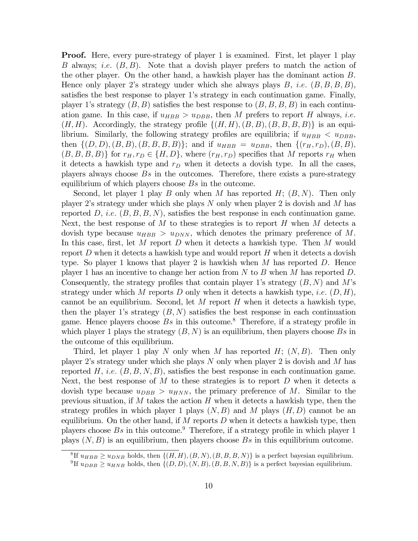**Proof.** Here, every pure-strategy of player 1 is examined. First, let player 1 play B always; *i.e.*  $(B, B)$ . Note that a dovish player prefers to match the action of the other player. On the other hand, a hawkish player has the dominant action B. Hence only player 2's strategy under which she always plays  $B$ , *i.e.*  $(B, B, B, B)$ , satisfies the best response to player 1's strategy in each continuation game. Finally, player 1's strategy  $(B, B)$  satisfies the best response to  $(B, B, B, B)$  in each continuation game. In this case, if  $u_{HBB} > u_{DBB}$ , then M prefers to report H always, *i.e.*  $(H, H)$ . Accordingly, the strategy profile  $\{(H, H), (B, B), (B, B, B)\}\$ is an equilibrium. Similarly, the following strategy profiles are equilibria; if  $u_{HBB} < u_{DBB}$ , then  $\{(D, D), (B, B), (B, B, B, B)\};$  and if  $u_{HBB} = u_{DBB}$ , then  $\{(r_H, r_D), (B, B),\}$  $(B, B, B, B)$  for  $r_H, r_D \in \{H, D\}$ , where  $(r_H, r_D)$  specifies that M reports  $r_H$  when it detects a hawkish type and  $r<sub>D</sub>$  when it detects a dovish type. In all the cases, players always choose Bs in the outcomes. Therefore, there exists a pure-strategy equilibrium of which players choose  $Bs$  in the outcome.

Second, let player 1 play B only when M has reported  $H$ ;  $(B, N)$ . Then only player 2's strategy under which she plays  $N$  only when player 2 is dovish and  $M$  has reported D, i.e.  $(B, B, B, N)$ , satisfies the best response in each continuation game. Next, the best response of M to these strategies is to report H when M detects a dovish type because  $u_{HBB} > u_{DNN}$ , which denotes the primary preference of M. In this case, first, let M report D when it detects a hawkish type. Then M would report  $D$  when it detects a hawkish type and would report  $H$  when it detects a dovish type. So player 1 knows that player 2 is hawkish when  $M$  has reported  $D$ . Hence player 1 has an incentive to change her action from N to B when M has reported D. Consequently, the strategy profiles that contain player 1's strategy  $(B, N)$  and M's strategy under which M reports D only when it detects a hawkish type, *i.e.*  $(D, H)$ , cannot be an equilibrium. Second, let  $M$  report  $H$  when it detects a hawkish type, then the player 1's strategy  $(B, N)$  satisfies the best response in each continuation game. Hence players choose  $Bs$  in this outcome.<sup>8</sup> Therefore, if a strategy profile in which player 1 plays the strategy  $(B, N)$  is an equilibrium, then players choose Bs in the outcome of this equilibrium.

Third, let player 1 play N only when M has reported  $H$ ;  $(N, B)$ . Then only player 2's strategy under which she plays  $N$  only when player 2 is dovish and  $M$  has reported  $H$ , *i.e.*  $(B, B, N, B)$ , satisfies the best response in each continuation game. Next, the best response of  $M$  to these strategies is to report  $D$  when it detects a dovish type because  $u_{DBB} > u_{HNN}$ , the primary preference of M. Similar to the previous situation, if  $M$  takes the action  $H$  when it detects a hawkish type, then the strategy profiles in which player 1 plays  $(N, B)$  and M plays  $(H, D)$  cannot be an equilibrium. On the other hand, if  $M$  reports  $D$  when it detects a hawkish type, then players choose  $Bs$  in this outcome.<sup>9</sup> Therefore, if a strategy profile in which player 1 plays  $(N, B)$  is an equilibrium, then players choose  $Bs$  in this equilibrium outcome.

<sup>&</sup>lt;sup>8</sup>If  $u_{HBB} \geq u_{DNB}$  holds, then  $\{(H, H), (B, N), (B, B, N)\}$  is a perfect bayesian equilibrium.

<sup>&</sup>lt;sup>9</sup>If  $u_{DBB} \geq u_{HNB}$  holds, then  $\{(D, D), (N, B), (B, B, N, B)\}\$ is a perfect bayesian equilibrium.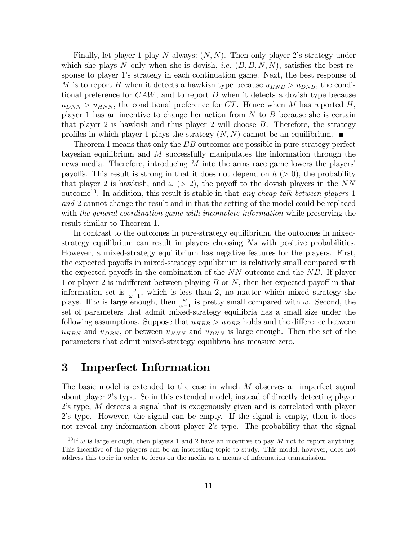Finally, let player 1 play N always;  $(N, N)$ . Then only player 2's strategy under which she plays N only when she is dovish, *i.e.*  $(B, B, N, N)$ , satisfies the best response to player 1ís strategy in each continuation game. Next, the best response of M is to report H when it detects a hawkish type because  $u_{HNB} > u_{DNB}$ , the conditional preference for CAW, and to report D when it detects a dovish type because  $u_{DNN} > u_{HNN}$ , the conditional preference for CT. Hence when M has reported H, player 1 has an incentive to change her action from  $N$  to  $B$  because she is certain that player 2 is hawkish and thus player 2 will choose  $B$ . Therefore, the strategy profiles in which player 1 plays the strategy  $(N, N)$  cannot be an equilibrium.

Theorem 1 means that only the BB outcomes are possible in pure-strategy perfect bayesian equilibrium and M successfully manipulates the information through the news media. Therefore, introducing  $M$  into the arms race game lowers the players' payoffs. This result is strong in that it does not depend on  $h > 0$ , the probability that player 2 is hawkish, and  $\omega$  (> 2), the payoff to the dovish players in the NN outcome<sup>10</sup>. In addition, this result is stable in that any cheap-talk between players 1 and 2 cannot change the result and in that the setting of the model could be replaced with the general coordination game with incomplete information while preserving the result similar to Theorem 1.

In contrast to the outcomes in pure-strategy equilibrium, the outcomes in mixedstrategy equilibrium can result in players choosing Ns with positive probabilities. However, a mixed-strategy equilibrium has negative features for the players. First, the expected payoffs in mixed-strategy equilibrium is relatively small compared with the expected payoffs in the combination of the  $NN$  outcome and the  $NB$ . If player 1 or player 2 is indifferent between playing  $B$  or  $N$ , then her expected payoff in that information set is  $\frac{\omega}{\omega-1}$ , which is less than 2, no matter which mixed strategy she plays. If  $\omega$  is large enough, then  $\frac{\omega}{\omega-1}$  is pretty small compared with  $\omega$ . Second, the set of parameters that admit mixed-strategy equilibria has a small size under the following assumptions. Suppose that  $u_{HBB} > u_{DBB}$  holds and the difference between  $u_{HBN}$  and  $u_{DBN}$ , or between  $u_{HNN}$  and  $u_{DNN}$  is large enough. Then the set of the parameters that admit mixed-strategy equilibria has measure zero.

#### 3 Imperfect Information

The basic model is extended to the case in which  $M$  observes an imperfect signal about player 2ís type. So in this extended model, instead of directly detecting player  $2$ 's type, M detects a signal that is exogenously given and is correlated with player 2ís type. However, the signal can be empty. If the signal is empty, then it does not reveal any information about player 2ís type. The probability that the signal

<sup>&</sup>lt;sup>10</sup>If  $\omega$  is large enough, then players 1 and 2 have an incentive to pay M not to report anything. This incentive of the players can be an interesting topic to study. This model, however, does not address this topic in order to focus on the media as a means of information transmission.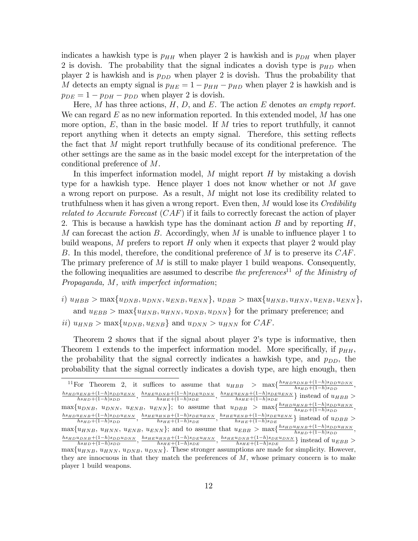indicates a hawkish type is  $p_{HH}$  when player 2 is hawkish and is  $p_{DH}$  when player 2 is dovish. The probability that the signal indicates a dovish type is  $p_{HD}$  when player 2 is hawkish and is  $p_{DD}$  when player 2 is dovish. Thus the probability that M detects an empty signal is  $p_{HE} = 1 - p_{HH} - p_{HD}$  when player 2 is hawkish and is  $p_{DE} = 1 - p_{DH} - p_{DD}$  when player 2 is dovish.

Here,  $M$  has three actions,  $H$ ,  $D$ , and  $E$ . The action  $E$  denotes an empty report. We can regard  $E$  as no new information reported. In this extended model,  $M$  has one more option,  $E$ , than in the basic model. If M tries to report truthfully, it cannot report anything when it detects an empty signal. Therefore, this setting reflects the fact that M might report truthfully because of its conditional preference. The other settings are the same as in the basic model except for the interpretation of the conditional preference of M.

In this imperfect information model,  $M$  might report  $H$  by mistaking a dovish type for a hawkish type. Hence player 1 does not know whether or not M gave a wrong report on purpose. As a result, M might not lose its credibility related to truthfulness when it has given a wrong report. Even then,  $M$  would lose its *Credibility* related to Accurate Forecast  $(CAF)$  if it fails to correctly forecast the action of player 2. This is because a hawkish type has the dominant action  $B$  and by reporting  $H$ , M can forecast the action B. Accordingly, when M is unable to influence player 1 to build weapons, M prefers to report H only when it expects that player 2 would play B. In this model, therefore, the conditional preference of  $M$  is to preserve its  $CAF$ . The primary preference of  $M$  is still to make player 1 build weapons. Consequently, the following inequalities are assumed to describe the preferences<sup>11</sup> of the Ministry of Propaganda, M, with imperfect information;

i)  $u_{HBB} > \max\{u_{DNB}, u_{DNN}, u_{ENB}, u_{ENN}\}, u_{DBB} > \max\{u_{HNB}, u_{HNN}, u_{ENB}, u_{ENN}\},$ and  $u_{EBB} > \max\{u_{HNB}, u_{HNN}, u_{DNB}, u_{DNN}\}\$  for the primary preference; and ii)  $u_{HNB} > \max\{u_{DNB}, u_{ENB}\}\$  and  $u_{DNN} > u_{HNN}$  for  $CAF.$ 

Theorem 2 shows that if the signal about player 2's type is informative, then Theorem 1 extends to the imperfect information model. More specifically, if  $p_{HH}$ , the probability that the signal correctly indicates a hawkish type, and  $p_{DD}$ , the probability that the signal correctly indicates a dovish type, are high enough, then

<sup>&</sup>lt;sup>11</sup>For Theorem 2, it suffices to assume that  $u_{HBB}$  >  $\max\{\frac{hs_{HD}u_{DNB}+(1-h)s_{DD}u_{DNN}}{hs_{HD}+(1-h)s_{DD}}\}$  $\frac{u_{DNB}+(1-h)s_{DD}u_{DNN}}{h s_{HD}+(1-h)s_{DD}},$  $hs_{HD}u_{ENB}+(1-h)s_{DD}u_{ENN}$  $\frac{h_{ENB} + (1-h)s_{DD}u_{ENN}}{h_{SHD} + (1-h)s_{DD}}$ ,  $\frac{h_{SHE}u_{DNB} + (1-h)s_{DE}u_{DNN}}{h_{SHE} + (1-h)s_{DE}}$  $\frac{\mu_{DNB} + (1-h)s_{DE}u_{DNN}}{h s_{HE} + (1-h)s_{DE}}$ ,  $\frac{h s_{HE}u_{ENB} + (1-h)s_{DE}u_{ENN}}{h s_{HE} + (1-h)s_{DE}}$  $\frac{\mu_{ENB} + (1-h)s_{DE}u_{ENN}}{n_{SHE} + (1-h)s_{DE}}$  instead of  $u_{HBB}$  >  $\max\{u_{DNB}, u_{DNN}, u_{ENB}, u_{END}\}\;$  to assume that  $u_{DBB} > \max\{\frac{h_{SHD}u_{HNB} + (1-h)_{SDD}u_{HNN}}{h_{SUL} + (1-h)_{SDD}}\}$  $\frac{\mu_{HNB} + (1-n)s_{DD}u_{HNN}}{h s_{HD} + (1-h)s_{DD}},$  $hs_{HD}u_{ENB}+(1-h)s_{DD}u_{ENN}$  $\frac{\mu_{ENB} + (1-h) s_{DD} u_{ENN}}{h_{SHD} + (1-h) s_{DD}}$ ,  $\frac{h_{SHE} u_{HNB} + (1-h) s_{DE} u_{HNN}}{h_{SHE} + (1-h) s_{DE}}$  $\frac{\mu_{HNB} + (1-h)s_{DE}u_{HNN}}{h_{SHE} + (1-h)s_{DE}}\text{, } \frac{h_{SHE}u_{ENB} + (1-h)s_{DE}u_{ENN}}{h_{SHE} + (1-h)s_{DE}}$  $\frac{\mu_{ENB} + (1-h)s_{DE}u_{ENN}}{h_{SHE} + (1-h)s_{DE}}$  instead of  $u_{DBB} >$  $\max\{u_{HNB}, u_{HNN}, u_{ENB}, u_{ENN}\};$  and to assume that  $u_{EBB} > \max\{\frac{hs_{HDD}u_{HNB} + (1-h)s_{DD}u_{HNN}}{hs_{HDD} + (1-h)s_{DD}}\}$  $\frac{\mu_{HNB} + (1 - h)s_{DD}u_{HNN}}{h s_{HD} + (1 - h)s_{DD}},$  $\frac{h_{SHD}u_{DNB} + (1-h)_{SDD}u_{DNN}}{h_{SHD} + (1-h)_{SDE}}$ ,  $\frac{h_{SHE}u_{DNB} + (1-h)_{SDE}u_{DNN}}{h_{SHP} + (1-h)_{SDE}}$  instead of  $u_{EBB}$  $hs_{HD}+(1-h)s_{DD}$  $hs_{HE}+(1-h)s_{DE}$  $hs_{HE}+(1-h)s_{DE}$  $\max\{u_{HNB}, u_{HNN}, u_{DNB}, u_{DNN}\}.$  These stronger assumptions are made for simplicity. However, they are innocuous in that they match the preferences of  $M$ , whose primary concern is to make player 1 build weapons.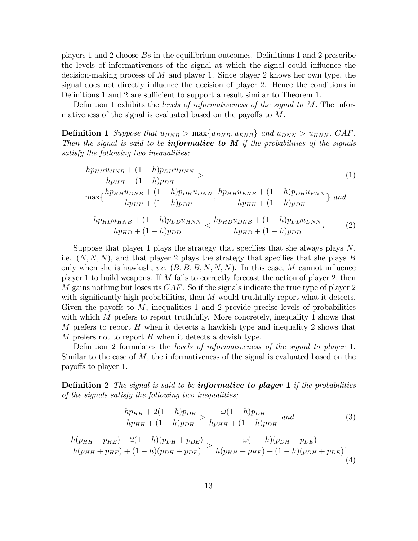players 1 and 2 choose  $Bs$  in the equilibrium outcomes. Definitions 1 and 2 prescribe the levels of informativeness of the signal at which the signal could ináuence the decision-making process of  $M$  and player 1. Since player 2 knows her own type, the signal does not directly influence the decision of player 2. Hence the conditions in Definitions 1 and 2 are sufficient to support a result similar to Theorem 1.

Definition 1 exhibits the *levels of informativeness of the signal to M*. The informativeness of the signal is evaluated based on the payoffs to  $M$ .

**Definition 1** Suppose that  $u_{HNB} > \max\{u_{DNB}, u_{ENB}\}\$  and  $u_{DNN} > u_{HNN}$ , CAF. Then the signal is said to be **informative to M** if the probabilities of the signals satisfy the following two inequalities;

$$
\frac{hp_{HH}u_{HNB} + (1-h)p_{DH}u_{HNN}}{hp_{HH} + (1-h)p_{DH}} > (1)
$$
\n
$$
\max\{\frac{hp_{HH}u_{DNB} + (1-h)p_{DH}u_{DNN}}{hp_{HH} + (1-h)p_{DH}}, \frac{hp_{HH}u_{ENB} + (1-h)p_{DH}u_{ENN}}{hp_{HH} + (1-h)p_{DH}}\} \text{ and}
$$

$$
\frac{hp_{HD}u_{HNB} + (1-h)p_{DD}u_{HNN}}{hp_{HD} + (1-h)p_{DD}} < \frac{hp_{HD}u_{DNB} + (1-h)p_{DD}u_{DNN}}{hp_{HD} + (1-h)p_{DD}}.\tag{2}
$$

Suppose that player 1 plays the strategy that specifies that she always plays  $N$ , i.e.  $(N, N, N)$ , and that player 2 plays the strategy that specifies that she plays B only when she is hawkish, *i.e.*  $(B, B, B, N, N, N)$ . In this case, M cannot influence player 1 to build weapons. If M fails to correctly forecast the action of player 2, then M gains nothing but loses its  $CAF$ . So if the signals indicate the true type of player 2 with significantly high probabilities, then  $M$  would truthfully report what it detects. Given the payoffs to  $M$ , inequalities 1 and 2 provide precise levels of probabilities with which  $M$  prefers to report truthfully. More concretely, inequality 1 shows that M prefers to report  $H$  when it detects a hawkish type and inequality 2 shows that  $M$  prefers not to report  $H$  when it detects a dovish type.

Definition 2 formulates the *levels of informativeness of the signal to player* 1. Similar to the case of  $M$ , the informativeness of the signal is evaluated based on the payo§s to player 1.

**Definition 2** The signal is said to be **informative to player 1** if the probabilities of the signals satisfy the following two inequalities;

$$
\frac{hp_{HH} + 2(1-h)p_{DH}}{hp_{HH} + (1-h)p_{DH}} > \frac{\omega(1-h)p_{DH}}{hp_{HH} + (1-h)p_{DH}} \text{ and } (3)
$$

$$
\frac{h(p_{HH} + p_{HE}) + 2(1 - h)(p_{DH} + p_{DE})}{h(p_{HH} + p_{HE}) + (1 - h)(p_{DH} + p_{DE})} > \frac{\omega(1 - h)(p_{DH} + p_{DE})}{h(p_{HH} + p_{HE}) + (1 - h)(p_{DH} + p_{DE})}.
$$
\n(4)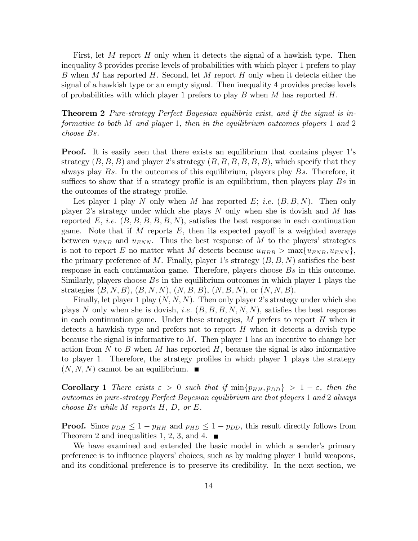First, let M report H only when it detects the signal of a hawkish type. Then inequality 3 provides precise levels of probabilities with which player 1 prefers to play B when M has reported H. Second, let M report H only when it detects either the signal of a hawkish type or an empty signal. Then inequality 4 provides precise levels of probabilities with which player 1 prefers to play B when M has reported  $H$ .

Theorem 2 Pure-strategy Perfect Bayesian equilibria exist, and if the signal is informative to both M and player 1, then in the equilibrium outcomes players 1 and 2 choose Bs.

**Proof.** It is easily seen that there exists an equilibrium that contains player 1's strategy  $(B, B, B)$  and player 2's strategy  $(B, B, B, B, B, B)$ , which specify that they always play Bs. In the outcomes of this equilibrium, players play Bs. Therefore, it suffices to show that if a strategy profile is an equilibrium, then players play  $Bs$  in the outcomes of the strategy profile.

Let player 1 play N only when M has reported E; i.e.  $(B, B, N)$ . Then only player 2's strategy under which she plays  $N$  only when she is dovish and  $M$  has reported E, i.e.  $(B, B, B, B, B, N)$ , satisfies the best response in each continuation game. Note that if M reports  $E$ , then its expected payoff is a weighted average between  $u_{ENB}$  and  $u_{ENN}$ . Thus the best response of M to the players' strategies is not to report E no matter what M detects because  $u_{HBB} > \max\{u_{ENB}, u_{ENN}\},\$ the primary preference of M. Finally, player 1's strategy  $(B, B, N)$  satisfies the best response in each continuation game. Therefore, players choose  $Bs$  in this outcome. Similarly, players choose Bs in the equilibrium outcomes in which player 1 plays the strategies  $(B, N, B), (B, N, N), (N, B, B), (N, B, N),$  or  $(N, N, B)$ .

Finally, let player 1 play  $(N, N, N)$ . Then only player 2's strategy under which she plays N only when she is dovish, *i.e.*  $(B, B, B, N, N, N)$ , satisfies the best response in each continuation game. Under these strategies,  $M$  prefers to report  $H$  when it detects a hawkish type and prefers not to report  $H$  when it detects a dovish type because the signal is informative to  $M$ . Then player 1 has an incentive to change her action from  $N$  to  $B$  when  $M$  has reported  $H$ , because the signal is also informative to player 1. Therefore, the strategy profiles in which player 1 plays the strategy  $(N, N, N)$  cannot be an equilibrium.

**Corollary 1** There exists  $\varepsilon > 0$  such that if  $\min\{p_{HH}, p_{DD}\} > 1 - \varepsilon$ , then the outcomes in pure-strategy Perfect Bayesian equilibrium are that players 1 and 2 always choose Bs while M reports H, D, or E.

**Proof.** Since  $p_{DH} \leq 1 - p_{HH}$  and  $p_{HD} \leq 1 - p_{DD}$ , this result directly follows from Theorem 2 and inequalities 1, 2, 3, and 4. ×

We have examined and extended the basic model in which a sender's primary preference is to ináuence playersí choices, such as by making player 1 build weapons, and its conditional preference is to preserve its credibility. In the next section, we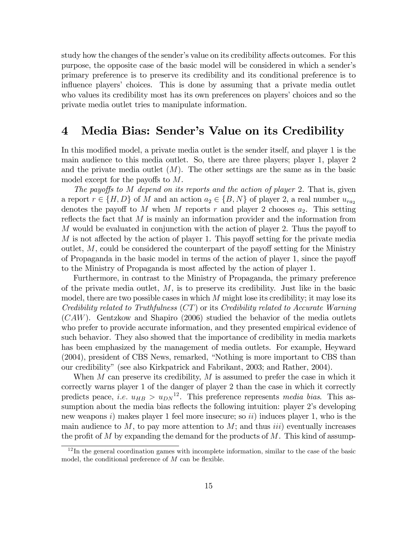study how the changes of the sender's value on its credibility affects outcomes. For this purpose, the opposite case of the basic model will be considered in which a senderís primary preference is to preserve its credibility and its conditional preference is to influence players' choices. This is done by assuming that a private media outlet who values its credibility most has its own preferences on players' choices and so the private media outlet tries to manipulate information.

#### 4 Media Bias: Sender's Value on its Credibility

In this modified model, a private media outlet is the sender itself, and player 1 is the main audience to this media outlet. So, there are three players; player 1, player 2 and the private media outlet  $(M)$ . The other settings are the same as in the basic model except for the payoffs to  $M$ .

The payoffs to  $M$  depend on its reports and the action of player 2. That is, given a report  $r \in \{H, D\}$  of M and an action  $a_2 \in \{B, N\}$  of player 2, a real number  $u_{ra_2}$ denotes the payoff to M when M reports r and player 2 chooses  $a_2$ . This setting reflects the fact that  $M$  is mainly an information provider and the information from M would be evaluated in conjunction with the action of player 2. Thus the payoff to  $M$  is not affected by the action of player 1. This payoff setting for the private media outlet,  $M$ , could be considered the counterpart of the payoff setting for the Ministry of Propaganda in the basic model in terms of the action of player 1, since the payoff to the Ministry of Propaganda is most affected by the action of player 1.

Furthermore, in contrast to the Ministry of Propaganda, the primary preference of the private media outlet,  $M$ , is to preserve its credibility. Just like in the basic model, there are two possible cases in which  $M$  might lose its credibility; it may lose its Credibility related to Truthfulness (CT) or its Credibility related to Accurate Warning  $(CAW)$ . Gentzkow and Shapiro (2006) studied the behavior of the media outlets who prefer to provide accurate information, and they presented empirical evidence of such behavior. They also showed that the importance of credibility in media markets has been emphasized by the management of media outlets. For example, Heyward  $(2004)$ , president of CBS News, remarked, "Nothing is more important to CBS than our credibilityî (see also Kirkpatrick and Fabrikant, 2003; and Rather, 2004).

When  $M$  can preserve its credibility,  $M$  is assumed to prefer the case in which it correctly warns player 1 of the danger of player 2 than the case in which it correctly predicts peace, *i.e.*  $u_{HB} > u_{DN}^{12}$ . This preference represents media bias. This assumption about the media bias reflects the following intuition: player 2's developing new weapons i) makes player 1 feel more insecure; so ii) induces player 1, who is the main audience to  $M$ , to pay more attention to  $M$ ; and thus *iii*) eventually increases the profit of M by expanding the demand for the products of M. This kind of assump-

<sup>&</sup>lt;sup>12</sup>In the general coordination games with incomplete information, similar to the case of the basic model, the conditional preference of  $M$  can be flexible.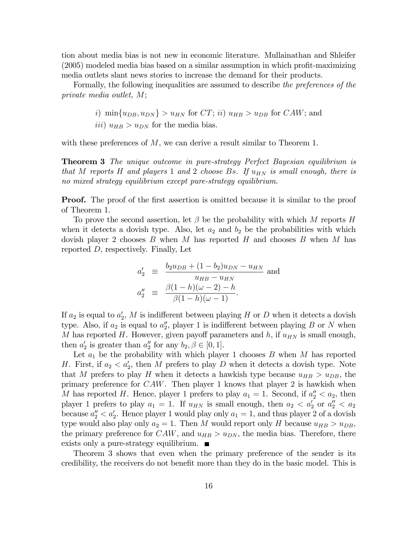tion about media bias is not new in economic literature. Mullainathan and Shleifer  $(2005)$  modeled media bias based on a similar assumption in which profit-maximizing media outlets slant news stories to increase the demand for their products.

Formally, the following inequalities are assumed to describe the preferences of the private media outlet, M;

> i) min $\{u_{DB}, u_{DN}\} > u_{HN}$  for  $CT$ ; ii)  $u_{HB} > u_{DB}$  for  $CAW$ ; and iii)  $u_{HB} > u_{DN}$  for the media bias.

with these preferences of  $M$ , we can derive a result similar to Theorem 1.

**Theorem 3** The unique outcome in pure-strategy Perfect Bayesian equilibrium is that M reports H and players 1 and 2 choose Bs. If  $u_{HN}$  is small enough, there is no mixed strategy equilibrium except pure-strategy equilibrium.

**Proof.** The proof of the first assertion is omitted because it is similar to the proof of Theorem 1.

To prove the second assertion, let  $\beta$  be the probability with which M reports H when it detects a dovish type. Also, let  $a_2$  and  $b_2$  be the probabilities with which dovish player 2 chooses  $B$  when  $M$  has reported  $H$  and chooses  $B$  when  $M$  has reported D, respectively. Finally, Let

$$
a'_2 \equiv \frac{b_2 u_{DB} + (1 - b_2) u_{DN} - u_{HN}}{u_{HB} - u_{HN}} \text{ and}
$$
  

$$
a''_2 \equiv \frac{\beta (1 - h)(\omega - 2) - h}{\beta (1 - h)(\omega - 1)}.
$$

If  $a_2$  is equal to  $a'_2$ , M is indifferent between playing H or D when it detects a dovish type. Also, if  $a_2$  is equal to  $a_2''$ , player 1 is indifferent between playing B or N when M has reported H. However, given payoff parameters and h, if  $u_{HN}$  is small enough, then  $a'_2$  is greater than  $a''_2$  for any  $b_2, \beta \in [0, 1]$ .

Let  $a_1$  be the probability with which player 1 chooses B when M has reported H. First, if  $a_2 < a_2'$ , then M prefers to play D when it detects a dovish type. Note that M prefers to play H when it detects a hawkish type because  $u_{HB} > u_{DB}$ , the primary preference for CAW. Then player 1 knows that player 2 is hawkish when M has reported H. Hence, player 1 prefers to play  $a_1 = 1$ . Second, if  $a_2'' < a_2$ , then player 1 prefers to play  $a_1 = 1$ . If  $u_{HN}$  is small enough, then  $a_2 < a'_2$  or  $a''_2 < a_2$ because  $a_2'' < a_2'$ . Hence player 1 would play only  $a_1 = 1$ , and thus player 2 of a dovish type would also play only  $a_2 = 1$ . Then M would report only H because  $u_{HB} > u_{DB}$ , the primary preference for CAW, and  $u_{HB} > u_{DN}$ , the media bias. Therefore, there exists only a pure-strategy equilibrium.  $\blacksquare$ 

Theorem 3 shows that even when the primary preference of the sender is its credibility, the receivers do not benefit more than they do in the basic model. This is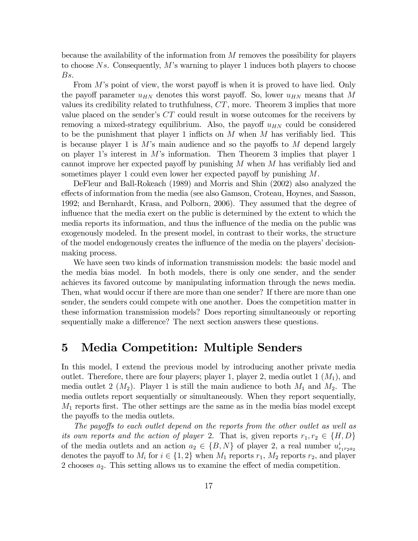because the availability of the information from  $M$  removes the possibility for players to choose  $Ns$ . Consequently,  $M$ 's warning to player 1 induces both players to choose Bs.

From  $M$ 's point of view, the worst payoff is when it is proved to have lied. Only the payoff parameter  $u_{HN}$  denotes this worst payoff. So, lower  $u_{HN}$  means that M values its credibility related to truthfulness, CT, more. Theorem 3 implies that more value placed on the sender's  $CT$  could result in worse outcomes for the receivers by removing a mixed-strategy equilibrium. Also, the payoff  $u_{HN}$  could be considered to be the punishment that player 1 inflicts on  $M$  when  $M$  has verifiably lied. This is because player 1 is  $M$ 's main audience and so the payoffs to  $M$  depend largely on player 1's interest in M's information. Then Theorem 3 implies that player 1 cannot improve her expected payoff by punishing  $M$  when  $M$  has verifiably lied and sometimes player 1 could even lower her expected payoff by punishing  $M$ .

DeFleur and Ball-Rokeach (1989) and Morris and Shin (2002) also analyzed the effects of information from the media (see also Gamson, Croteau, Hoynes, and Sasson, 1992; and Bernhardt, Krasa, and Polborn, 2006). They assumed that the degree of influence that the media exert on the public is determined by the extent to which the media reports its information, and thus the influence of the media on the public was exogenously modeled. In the present model, in contrast to their works, the structure of the model endogenously creates the influence of the media on the players' decisionmaking process.

We have seen two kinds of information transmission models: the basic model and the media bias model. In both models, there is only one sender, and the sender achieves its favored outcome by manipulating information through the news media. Then, what would occur if there are more than one sender? If there are more than one sender, the senders could compete with one another. Does the competition matter in these information transmission models? Does reporting simultaneously or reporting sequentially make a difference? The next section answers these questions.

### 5 Media Competition: Multiple Senders

In this model, I extend the previous model by introducing another private media outlet. Therefore, there are four players; player 1, player 2, media outlet  $1(M_1)$ , and media outlet 2  $(M_2)$ . Player 1 is still the main audience to both  $M_1$  and  $M_2$ . The media outlets report sequentially or simultaneously. When they report sequentially,  $M_1$  reports first. The other settings are the same as in the media bias model except the payoffs to the media outlets.

The payoffs to each outlet depend on the reports from the other outlet as well as its own reports and the action of player 2. That is, given reports  $r_1, r_2 \in \{H, D\}$ of the media outlets and an action  $a_2 \in \{B, N\}$  of player 2, a real number  $u_{r_1r_2a_2}^i$ denotes the payoff to  $M_i$  for  $i \in \{1,2\}$  when  $M_1$  reports  $r_1$ ,  $M_2$  reports  $r_2$ , and player 2 chooses  $a_2$ . This setting allows us to examine the effect of media competition.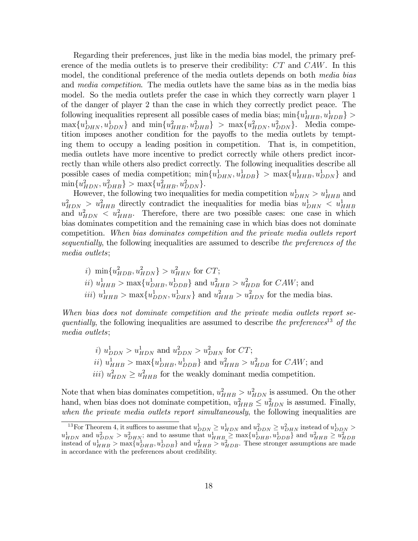Regarding their preferences, just like in the media bias model, the primary preference of the media outlets is to preserve their credibility:  $CT$  and  $CAW$ . In this model, the conditional preference of the media outlets depends on both *media bias* and *media competition*. The media outlets have the same bias as in the media bias model. So the media outlets prefer the case in which they correctly warn player 1 of the danger of player 2 than the case in which they correctly predict peace. The following inequalities represent all possible cases of media bias;  $\min\{u_{HHB}^1, u_{HDB}^1\}$  $\max\{u_{DHN}^1, u_{DDN}^1\}$  and  $\min\{u_{HHB}^2, u_{DHB}^2\} > \max\{u_{HDN}^2, u_{DDN}^2\}$ . Media competition imposes another condition for the payoffs to the media outlets by tempting them to occupy a leading position in competition. That is, in competition, media outlets have more incentive to predict correctly while others predict incorrectly than while others also predict correctly. The following inequalities describe all possible cases of media competition;  $\min\{u_{DHN}^1, u_{HDB}^1\} > \max\{u_{HHB}^1, u_{DDN}^1\}$  and  $\min\{u_{HDN}^2, u_{DHB}^2\} > \max\{u_{HHB}^2, u_{DDN}^2\}.$ 

However, the following two inequalities for media competition  $u_{DHN}^1 > u_{HHB}^1$  and  $u_{HDN}^2 > u_{HHB}^2$  directly contradict the inequalities for media bias  $u_{DHN}^1 < u_{HHB}^1$ and  $u_{HDN}^2 < u_{HHB}^2$ . Therefore, there are two possible cases: one case in which bias dominates competition and the remaining case in which bias does not dominate competition. When bias dominates competition and the private media outlets report sequentially, the following inequalities are assumed to describe the preferences of the media outlets;

\n- i) 
$$
\min\{u_{HDB}^2, u_{HDN}^2\} > u_{HHN}^2
$$
 for  $CT$ ;
\n- ii)  $u_{HHB}^1 > \max\{u_{DHB}^1, u_{DDB}^1\}$  and  $u_{HHB}^2 > u_{HDB}^2$  for  $CAW$ ; and
\n- iii)  $u_{HHB}^1 > \max\{u_{DDN}^1, u_{DHN}^1\}$  and  $u_{HHB}^2 > u_{HDN}^2$  for the media bias.
\n

When bias does not dominate competition and the private media outlets report sequentially, the following inequalities are assumed to describe the preferences<sup>13</sup> of the media outlets;

> i)  $u_{DDN}^1 > u_{HDN}^1$  and  $u_{DDN}^2 > u_{DHN}^2$  for  $CT$ ;  $ii) u_{HHB}^{1} > \max\{u_{DHB}^{1}, u_{DDB}^{1}\}\text{ and }u_{HHB}^{2} > u_{HDB}^{2} \text{ for } CAM\text{; and}$ iii)  $u_{HDN}^2 \geq u_{HHB}^2$  for the weakly dominant media competition.

Note that when bias dominates competition,  $u_{HHB}^2 > u_{HDN}^2$  is assumed. On the other hand, when bias does not dominate competition,  $u_{HHB}^2 \leq u_{HDN}^2$  is assumed. Finally, when the private media outlets report simultaneously, the following inequalities are

<sup>&</sup>lt;sup>13</sup>For Theorem 4, it suffices to assume that  $u_{DDN}^1 \ge u_{HDN}^1$  and  $u_{DDN}^2 \ge u_{DHN}^2$  instead of  $u_{DDN}^1$  $u_{HDN}^1$  and  $u_{DDN}^2 > u_{DHN}^2$ ; and to assume that  $u_{HHB}^1 \ge \max\{u_{DHB}^1, u_{DDB}^1\}$  and  $u_{HHB}^2 \ge u_{HDB}^2$ instead of  $u_{HHB}^1 > \max\{u_{DHB}^1, u_{DDB}^1\}$  and  $u_{HHB}^2 > u_{HDB}^2$ . These stronger assumptions are made in accordance with the preferences about credibility.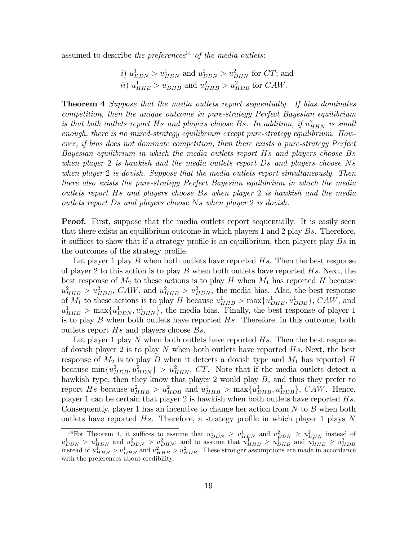assumed to describe the preferences<sup>14</sup> of the media outlets;

*i)* 
$$
u_{DDN}^1 > u_{HDN}^1
$$
 and  $u_{DDN}^2 > u_{DHN}^2$  for *CT*; and  
*ii)*  $u_{HHB}^1 > u_{DHB}^1$  and  $u_{HHB}^2 > u_{HDB}^2$  for *CAW*.

**Theorem 4** Suppose that the media outlets report sequentially. If bias dominates competition, then the unique outcome in pure-strategy Perfect Bayesian equilibrium is that both outlets report Hs and players choose Bs. In addition, if  $u_{HHN}^2$  is small enough, there is no mixed-strategy equilibrium except pure-strategy equilibrium. However, if bias does not dominate competition, then there exists a pure-strategy Perfect Bayesian equilibrium in which the media outlets report Hs and players choose Bs when player 2 is hawkish and the media outlets report Ds and players choose Ns when player 2 is dovish. Suppose that the media outlets report simultaneously. Then there also exists the pure-strategy Perfect Bayesian equilibrium in which the media outlets report Hs and players choose Bs when player 2 is hawkish and the media outlets report Ds and players choose Ns when player 2 is dovish.

**Proof.** First, suppose that the media outlets report sequentially. It is easily seen that there exists an equilibrium outcome in which players 1 and 2 play Bs. Therefore, it suffices to show that if a strategy profile is an equilibrium, then players play  $Bs$  in the outcomes of the strategy profile.

Let player 1 play B when both outlets have reported  $Hs$ . Then the best response of player 2 to this action is to play  $B$  when both outlets have reported  $H_s$ . Next, the best response of  $M_2$  to these actions is to play H when  $M_1$  has reported H because  $u_{HHB}^2 > u_{HDB}^2$ , CAW, and  $u_{HHB}^2 > u_{HDN}^2$ , the media bias. Also, the best response of  $M_1$  to these actions is to play H because  $u_{HHB}^1 > \max\{u_{DHB}^1, u_{DDB}^1\}$ ,  $CAW$ , and  $u_{HHB}^1$  > max $\{u_{DDN}^1, u_{DHN}^1\}$ , the media bias. Finally, the best response of player 1 is to play  $B$  when both outlets have reported  $Hs$ . Therefore, in this outcome, both outlets report  $Hs$  and players choose  $Bs$ .

Let player 1 play N when both outlets have reported  $Hs$ . Then the best response of dovish player 2 is to play N when both outlets have reported  $Hs$ . Next, the best response of  $M_2$  is to play D when it detects a dovish type and  $M_1$  has reported H because  $\min\{u_{HDB}^2, u_{HDN}^2\} > u_{HHN}^2$ , CT. Note that if the media outlets detect a hawkish type, then they know that player 2 would play B, and thus they prefer to report Hs because  $u_{HHB}^2 > u_{HDB}^2$  and  $u_{HHB}^1 > \max\{u_{DHB}^1, u_{DDB}^1\}$ , CAW. Hence, player 1 can be certain that player 2 is hawkish when both outlets have reported Hs. Consequently, player 1 has an incentive to change her action from  $N$  to  $B$  when both outlets have reported  $Hs$ . Therefore, a strategy profile in which player 1 plays N

<sup>&</sup>lt;sup>14</sup>For Theorem 4, it suffices to assume that  $u_{DDN}^1 \geq u_{HDN}^1$  and  $u_{DDN}^2 \geq u_{DHN}^2$  instead of  $u_{DDN}^1 > u_{HDN}^1$  and  $u_{DDN}^2 > u_{DHN}^2$ ; and to assume that  $u_{HHB}^1 \geq u_{DHB}^1$  and  $u_{HHB}^2 \geq u_{HDB}^2$ instead of  $u_{HHB}^1 > u_{HHB}^1 > u_{HHB}^2 > u_{HPB}^2$ . These stronger assumptions are made in accordance with the preferences about credibility.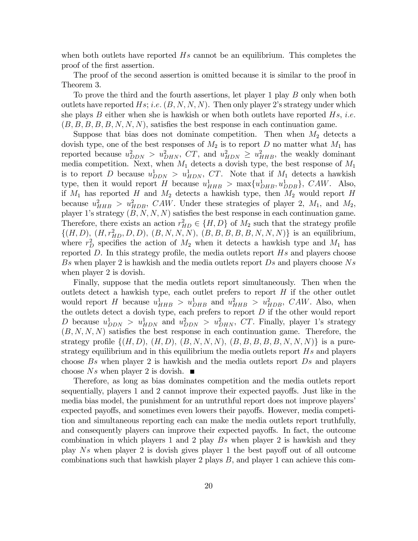when both outlets have reported  $Hs$  cannot be an equilibrium. This completes the proof of the first assertion.

The proof of the second assertion is omitted because it is similar to the proof in Theorem 3.

To prove the third and the fourth assertions, let player 1 play B only when both outlets have reported Hs; i.e.  $(B, N, N, N)$ . Then only player 2's strategy under which she plays B either when she is hawkish or when both outlets have reported  $H_s$ , *i.e.*  $(B, B, B, B, B, N, N, N)$ , satisfies the best response in each continuation game.

Suppose that bias does not dominate competition. Then when  $M_2$  detects a dovish type, one of the best responses of  $M_2$  is to report D no matter what  $M_1$  has reported because  $u_{DDN}^2 > u_{DHN}^2$ ,  $CT$ , and  $u_{HDN}^2 \geq u_{HHB}^2$ , the weakly dominant media competition. Next, when  $M_1$  detects a dovish type, the best response of  $M_1$ is to report D because  $u_{DDN}^1 > u_{HDN}^1$ , CT. Note that if  $M_1$  detects a hawkish type, then it would report H because  $u_{HHB}^1 > \max\{u_{DHB}^1, u_{DDB}^1\}$ , CAW. Also, if  $M_1$  has reported H and  $M_2$  detects a hawkish type, then  $M_2$  would report H because  $u_{HHB}^2 > u_{HDB}^2$ , CAW. Under these strategies of player 2,  $M_1$ , and  $M_2$ , player 1's strategy  $(B, N, N, N)$  satisfies the best response in each continuation game. Therefore, there exists an action  $r_{HD}^2 \in \{H, D\}$  of  $M_2$  such that the strategy profile  $\{(H, D), (H, r_{HD}^2, D, D), (B, N, N, N), (B, B, B, B, N, N, N)\}\)$  is an equilibrium, where  $r_D^2$  specifies the action of  $M_2$  when it detects a hawkish type and  $M_1$  has reported D. In this strategy profile, the media outlets report  $H_s$  and players choose Bs when player 2 is hawkish and the media outlets report  $Ds$  and players choose Ns when player 2 is dovish.

Finally, suppose that the media outlets report simultaneously. Then when the outlets detect a hawkish type, each outlet prefers to report  $H$  if the other outlet would report H because  $u_{HHB}^1 > u_{HHB}^1$  and  $u_{HHB}^2 > u_{HPB}^2$ , CAW. Also, when the outlets detect a dovish type, each prefers to report  $D$  if the other would report D because  $u_{DDN}^1 > u_{HDN}^1$  and  $u_{DDN}^2 > u_{DHN}^2$ , CT. Finally, player 1's strategy  $(B, N, N, N)$  satisfies the best response in each continuation game. Therefore, the strategy profile  $\{(H, D), (H, D), (B, N, N, N), (B, B, B, B, N, N, N)\}\$ is a purestrategy equilibrium and in this equilibrium the media outlets report  $Hs$  and players choose  $Bs$  when player 2 is hawkish and the media outlets report  $Ds$  and players choose  $Ns$  when player 2 is dovish.  $\blacksquare$ 

Therefore, as long as bias dominates competition and the media outlets report sequentially, players 1 and 2 cannot improve their expected payoffs. Just like in the media bias model, the punishment for an untruthful report does not improve players' expected payoffs, and sometimes even lowers their payoffs. However, media competition and simultaneous reporting each can make the media outlets report truthfully, and consequently players can improve their expected payoffs. In fact, the outcome combination in which players 1 and 2 play  $Bs$  when player 2 is hawkish and they play  $Ns$  when player 2 is dovish gives player 1 the best payoff out of all outcome combinations such that hawkish player 2 plays B, and player 1 can achieve this com-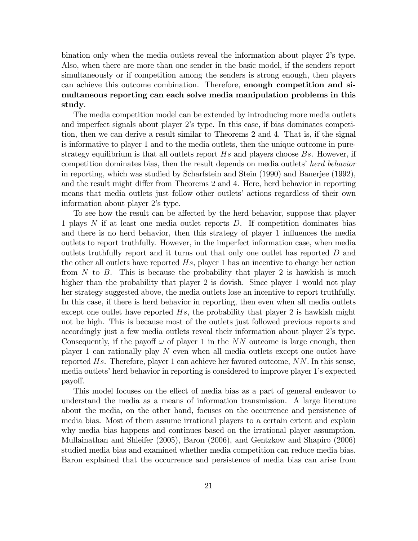bination only when the media outlets reveal the information about player 2's type. Also, when there are more than one sender in the basic model, if the senders report simultaneously or if competition among the senders is strong enough, then players can achieve this outcome combination. Therefore, enough competition and simultaneous reporting can each solve media manipulation problems in this study.

The media competition model can be extended by introducing more media outlets and imperfect signals about player 2's type. In this case, if bias dominates competition, then we can derive a result similar to Theorems 2 and 4. That is, if the signal is informative to player 1 and to the media outlets, then the unique outcome in purestrategy equilibrium is that all outlets report  $Hs$  and players choose  $Bs$ . However, if competition dominates bias, then the result depends on media outlets' herd behavior in reporting, which was studied by Scharfstein and Stein (1990) and Banerjee (1992), and the result might differ from Theorems 2 and 4. Here, herd behavior in reporting means that media outlets just follow other outletsí actions regardless of their own information about player 2's type.

To see how the result can be affected by the herd behavior, suppose that player 1 plays N if at least one media outlet reports D. If competition dominates bias and there is no herd behavior, then this strategy of player 1 influences the media outlets to report truthfully. However, in the imperfect information case, when media outlets truthfully report and it turns out that only one outlet has reported D and the other all outlets have reported  $H_s$ , player 1 has an incentive to change her action from N to B. This is because the probability that player 2 is hawkish is much higher than the probability that player 2 is dovish. Since player 1 would not play her strategy suggested above, the media outlets lose an incentive to report truthfully. In this case, if there is herd behavior in reporting, then even when all media outlets except one outlet have reported  $H_s$ , the probability that player 2 is hawkish might not be high. This is because most of the outlets just followed previous reports and accordingly just a few media outlets reveal their information about player 2's type. Consequently, if the payoff  $\omega$  of player 1 in the NN outcome is large enough, then player 1 can rationally play N even when all media outlets except one outlet have reported  $Hs$ . Therefore, player 1 can achieve her favored outcome,  $NN$ . In this sense, media outlets' herd behavior in reporting is considered to improve player 1's expected payo§.

This model focuses on the effect of media bias as a part of general endeavor to understand the media as a means of information transmission. A large literature about the media, on the other hand, focuses on the occurrence and persistence of media bias. Most of them assume irrational players to a certain extent and explain why media bias happens and continues based on the irrational player assumption. Mullainathan and Shleifer (2005), Baron (2006), and Gentzkow and Shapiro (2006) studied media bias and examined whether media competition can reduce media bias. Baron explained that the occurrence and persistence of media bias can arise from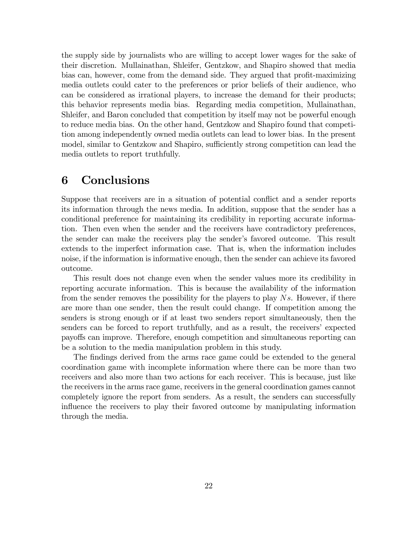the supply side by journalists who are willing to accept lower wages for the sake of their discretion. Mullainathan, Shleifer, Gentzkow, and Shapiro showed that media bias can, however, come from the demand side. They argued that profit-maximizing media outlets could cater to the preferences or prior beliefs of their audience, who can be considered as irrational players, to increase the demand for their products; this behavior represents media bias. Regarding media competition, Mullainathan, Shleifer, and Baron concluded that competition by itself may not be powerful enough to reduce media bias. On the other hand, Gentzkow and Shapiro found that competition among independently owned media outlets can lead to lower bias. In the present model, similar to Gentzkow and Shapiro, sufficiently strong competition can lead the media outlets to report truthfully.

#### 6 Conclusions

Suppose that receivers are in a situation of potential conflict and a sender reports its information through the news media. In addition, suppose that the sender has a conditional preference for maintaining its credibility in reporting accurate information. Then even when the sender and the receivers have contradictory preferences, the sender can make the receivers play the sender's favored outcome. This result extends to the imperfect information case. That is, when the information includes noise, if the information is informative enough, then the sender can achieve its favored outcome.

This result does not change even when the sender values more its credibility in reporting accurate information. This is because the availability of the information from the sender removes the possibility for the players to play  $Ns$ . However, if there are more than one sender, then the result could change. If competition among the senders is strong enough or if at least two senders report simultaneously, then the senders can be forced to report truthfully, and as a result, the receivers' expected payo§s can improve. Therefore, enough competition and simultaneous reporting can be a solution to the media manipulation problem in this study.

The findings derived from the arms race game could be extended to the general coordination game with incomplete information where there can be more than two receivers and also more than two actions for each receiver. This is because, just like the receivers in the arms race game, receivers in the general coordination games cannot completely ignore the report from senders. As a result, the senders can successfully influence the receivers to play their favored outcome by manipulating information through the media.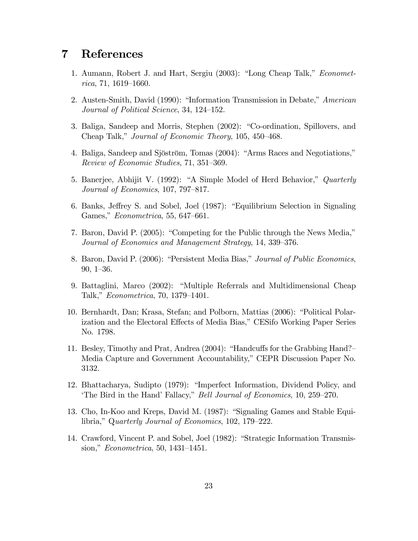### 7 References

- 1. Aumann, Robert J. and Hart, Sergiu (2003): "Long Cheap Talk," *Economet* $rica, 71, 1619–1660.$
- 2. Austen-Smith, David (1990): "Information Transmission in Debate," American Journal of Political Science, 34, 124–152.
- 3. Baliga, Sandeep and Morris, Stephen (2002): "Co-ordination, Spillovers, and Cheap Talk," Journal of Economic Theory, 105, 450–468.
- 4. Baliga, Sandeep and Sjöström, Tomas (2004): "Arms Races and Negotiations," Review of Economic Studies, 71, 351–369.
- 5. Banerjee, Abhijit V. (1992): "A Simple Model of Herd Behavior," Quarterly Journal of Economics,  $107, 797-817$ .
- 6. Banks, Jeffrey S. and Sobel, Joel (1987): "Equilibrium Selection in Signaling Games," *Econometrica*, 55, 647–661.
- 7. Baron, David P. (2005): "Competing for the Public through the News Media," Journal of Economics and Management Strategy, 14, 339–376.
- 8. Baron, David P. (2006): "Persistent Media Bias," Journal of Public Economics,  $90, 1-36.$
- 9. Battaglini, Marco (2002): "Multiple Referrals and Multidimensional Cheap Talk," *Econometrica*, 70, 1379–1401.
- 10. Bernhardt, Dan; Krasa, Stefan; and Polborn, Mattias (2006): "Political Polarization and the Electoral Effects of Media Bias," CESifo Working Paper Series No. 1798.
- 11. Besley, Timothy and Prat, Andrea (2004): "Handcuffs for the Grabbing Hand? Media Capture and Government Accountability," CEPR Discussion Paper No. 3132.
- 12. Bhattacharya, Sudipto (1979): "Imperfect Information, Dividend Policy, and The Bird in the Hand' Fallacy," *Bell Journal of Economics*, 10, 259–270.
- 13. Cho, In-Koo and Kreps, David M. (1987): "Signaling Games and Stable Equilibria," Quarterly Journal of Economics,  $102$ ,  $179-222$ .
- 14. Crawford, Vincent P. and Sobel, Joel (1982): "Strategic Information Transmission,"  $Econometrica$ , 50, 1431–1451.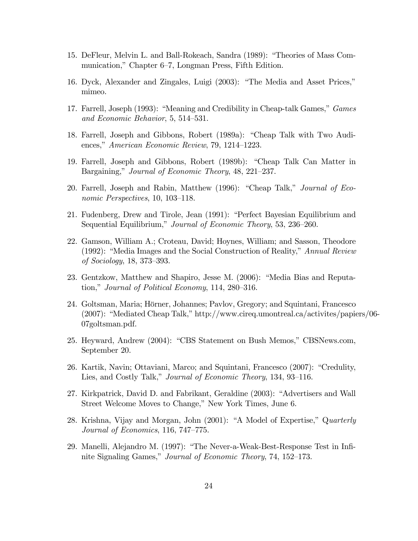- 15. DeFleur, Melvin L. and Ball-Rokeach, Sandra (1989): "Theories of Mass Communication," Chapter  $6-7$ , Longman Press, Fifth Edition.
- 16. Dyck, Alexander and Zingales, Luigi (2003): "The Media and Asset Prices," mimeo.
- 17. Farrell, Joseph (1993): "Meaning and Credibility in Cheap-talk Games," Games and Economic Behavior,  $5, 514-531$ .
- 18. Farrell, Joseph and Gibbons, Robert (1989a): "Cheap Talk with Two Audiences," American Economic Review, 79, 1214–1223.
- 19. Farrell, Joseph and Gibbons, Robert (1989b): "Cheap Talk Can Matter in Bargaining," Journal of Economic Theory, 48, 221–237.
- 20. Farrell, Joseph and Rabin, Matthew (1996): "Cheap Talk," Journal of Economic Perspectives,  $10, 103-118$ .
- 21. Fudenberg, Drew and Tirole, Jean (1991): "Perfect Bayesian Equilibrium and Sequential Equilibrium," Journal of Economic Theory, 53, 236–260.
- 22. Gamson, William A.; Croteau, David; Hoynes, William; and Sasson, Theodore (1992): "Media Images and the Social Construction of Reality," Annual Review of Sociology, 18, 373–393.
- 23. Gentzkow, Matthew and Shapiro, Jesse M. (2006): "Media Bias and Reputation," Journal of Political Economy, 114, 280–316.
- 24. Goltsman, Maria; Hörner, Johannes; Pavlov, Gregory; and Squintani, Francesco (2007): "Mediated Cheap Talk," http://www.cireq.umontreal.ca/activites/papiers/06-07goltsman.pdf.
- 25. Heyward, Andrew (2004): "CBS Statement on Bush Memos," CBSNews.com, September 20.
- 26. Kartik, Navin; Ottaviani, Marco; and Squintani, Francesco (2007): "Credulity, Lies, and Costly Talk," Journal of Economic Theory, 134, 93–116.
- 27. Kirkpatrick, David D. and Fabrikant, Geraldine (2003): "Advertisers and Wall Street Welcome Moves to Change," New York Times, June 6.
- 28. Krishna, Vijay and Morgan, John (2001): "A Model of Expertise," Quarterly Journal of Economics, 116, 747–775.
- 29. Manelli, Alejandro M. (1997): "The Never-a-Weak-Best-Response Test in Infinite Signaling Games," Journal of Economic Theory, 74, 152–173.